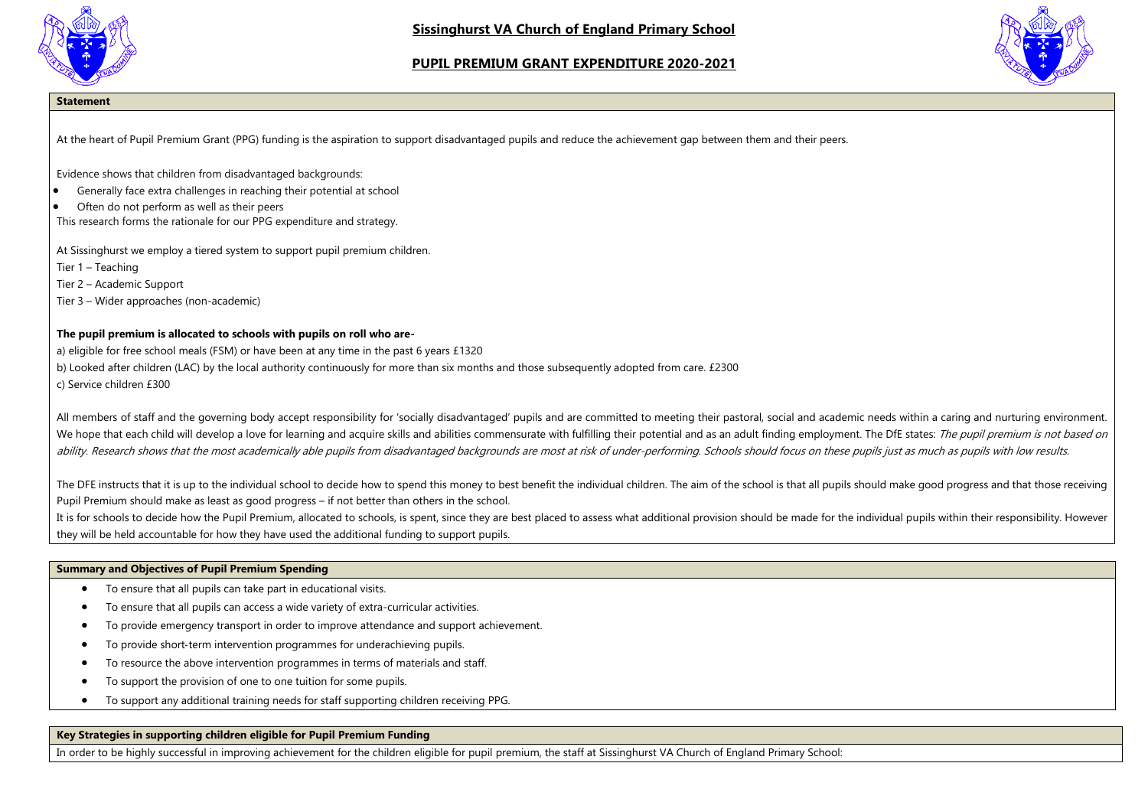

**Sissinghurst VA Church of England Primary School** 

# **PUPIL PREMIUM GRANT EXPENDITURE 2020-2021**



## **Statement**

At the heart of Pupil Premium Grant (PPG) funding is the aspiration to support disadvantaged pupils and reduce the achievement gap between them and their peers.

Evidence shows that children from disadvantaged backgrounds:

- $\bullet$  Generally face extra challenges in reaching their potential at school
- Often do not perform as well as their peers
- This research forms the rationale for our PPG expenditure and strategy.

At Sissinghurst we employ a tiered system to support pupil premium children.

Tier 1 – Teaching

Tier 2 – Academic Support

Tier 3 – Wider approaches (non-academic)

## **The pupil premium is allocated to schools with pupils on roll who are-**

a) eligible for free school meals (FSM) or have been at any time in the past 6 years £1320

b) Looked after children (LAC) by the local authority continuously for more than six months and those subsequently adopted from care. £2300

c) Service children £300

All members of staff and the governing body accept responsibility for 'socially disadvantaged' pupils and are committed to meeting their pastoral, social and academic needs within a caring and nurturing environment. We hope that each child will develop a love for learning and acquire skills and abilities commensurate with fulfilling their potential and as an adult finding employment. The DfE states: The pupil premium is not based on ability. Research shows that the most academically able pupils from disadvantaged backgrounds are most at risk of under-performing. Schools should focus on these pupils just as much as pupils with low results.

The DFE instructs that it is up to the individual school to decide how to spend this money to best benefit the individual children. The aim of the school is that all pupils should make good progress and that those receivin Pupil Premium should make as least as good progress – if not better than others in the school.

It is for schools to decide how the Pupil Premium, allocated to schools, is spent, since they are best placed to assess what additional provision should be made for the individual pupils within their responsibility. Howeve they will be held accountable for how they have used the additional funding to support pupils.

#### **Summary and Objectives of Pupil Premium Spending**

- To ensure that all pupils can take part in educational visits.
- To ensure that all pupils can access a wide variety of extra-curricular activities.
- To provide emergency transport in order to improve attendance and support achievement.
- To provide short‐term intervention programmes for underachieving pupils.
- To resource the above intervention programmes in terms of materials and staff.
- To support the provision of one to one tuition for some pupils.
- To support any additional training needs for staff supporting children receiving PPG.

## **Key Strategies in supporting children eligible for Pupil Premium Funding**

In order to be highly successful in improving achievement for the children eligible for pupil premium, the staff at Sissinghurst VA Church of England Primary School: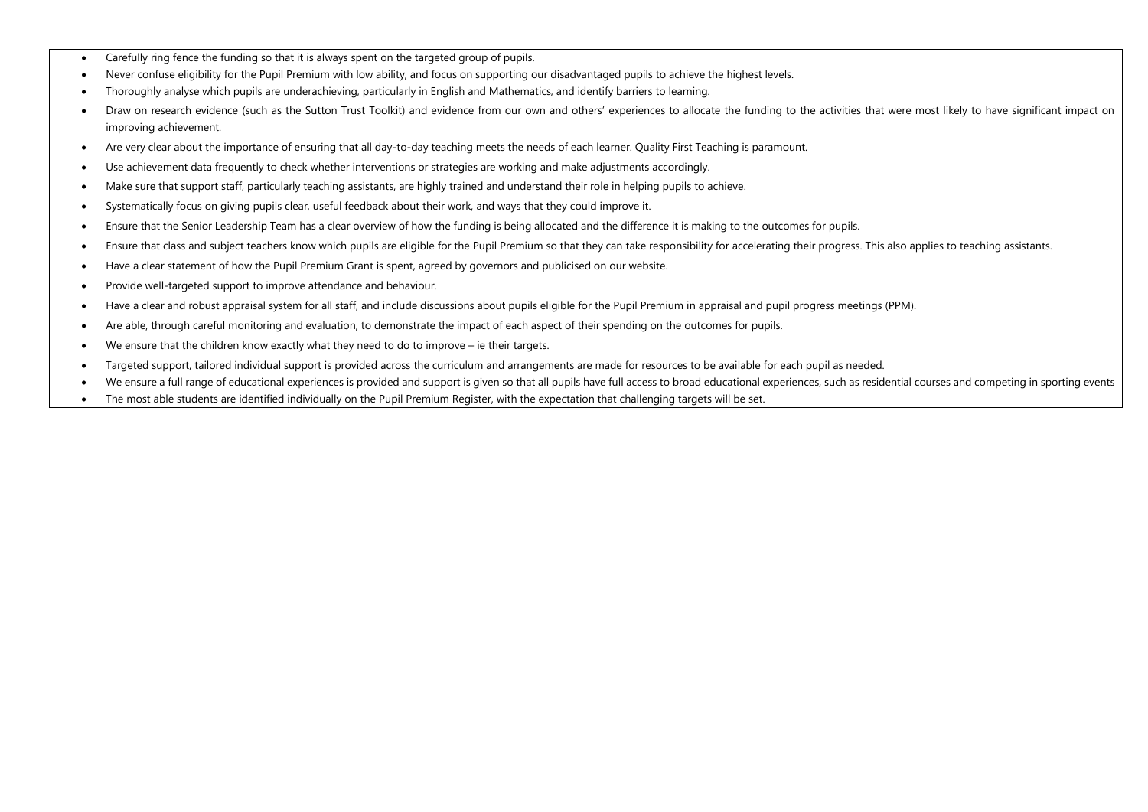- Carefully ring fence the funding so that it is always spent on the targeted group of pupils.
- Never confuse eligibility for the Pupil Premium with low ability, and focus on supporting our disadvantaged pupils to achieve the highest levels.
- Thoroughly analyse which pupils are underachieving, particularly in English and Mathematics, and identify barriers to learning.
- Draw on research evidence (such as the Sutton Trust Toolkit) and evidence from our own and others' experiences to allocate the funding to the activities that were most likely to have significant impact on improving achievement.
- Are very clear about the importance of ensuring that all day-to-day teaching meets the needs of each learner. Quality First Teaching is paramount.
- Use achievement data frequently to check whether interventions or strategies are working and make adjustments accordingly.
- Make sure that support staff, particularly teaching assistants, are highly trained and understand their role in helping pupils to achieve.
- Systematically focus on giving pupils clear, useful feedback about their work, and ways that they could improve it.
- Ensure that the Senior Leadership Team has a clear overview of how the funding is being allocated and the difference it is making to the outcomes for pupils.
- Ensure that class and subject teachers know which pupils are eligible for the Pupil Premium so that they can take responsibility for accelerating their progress. This also applies to teaching assistants.
- Have a clear statement of how the Pupil Premium Grant is spent, agreed by governors and publicised on our website.
- Provide well-targeted support to improve attendance and behaviour.
- Have a clear and robust appraisal system for all staff, and include discussions about pupils eligible for the Pupil Premium in appraisal and pupil progress meetings (PPM).
- Are able, through careful monitoring and evaluation, to demonstrate the impact of each aspect of their spending on the outcomes for pupils.
- We ensure that the children know exactly what they need to do to improve ie their targets.
- Targeted support, tailored individual support is provided across the curriculum and arrangements are made for resources to be available for each pupil as needed.
- We ensure a full range of educational experiences is provided and support is given so that all pupils have full access to broad educational experiences, such as residential courses and competing in sporting events
- The most able students are identified individually on the Pupil Premium Register, with the expectation that challenging targets will be set.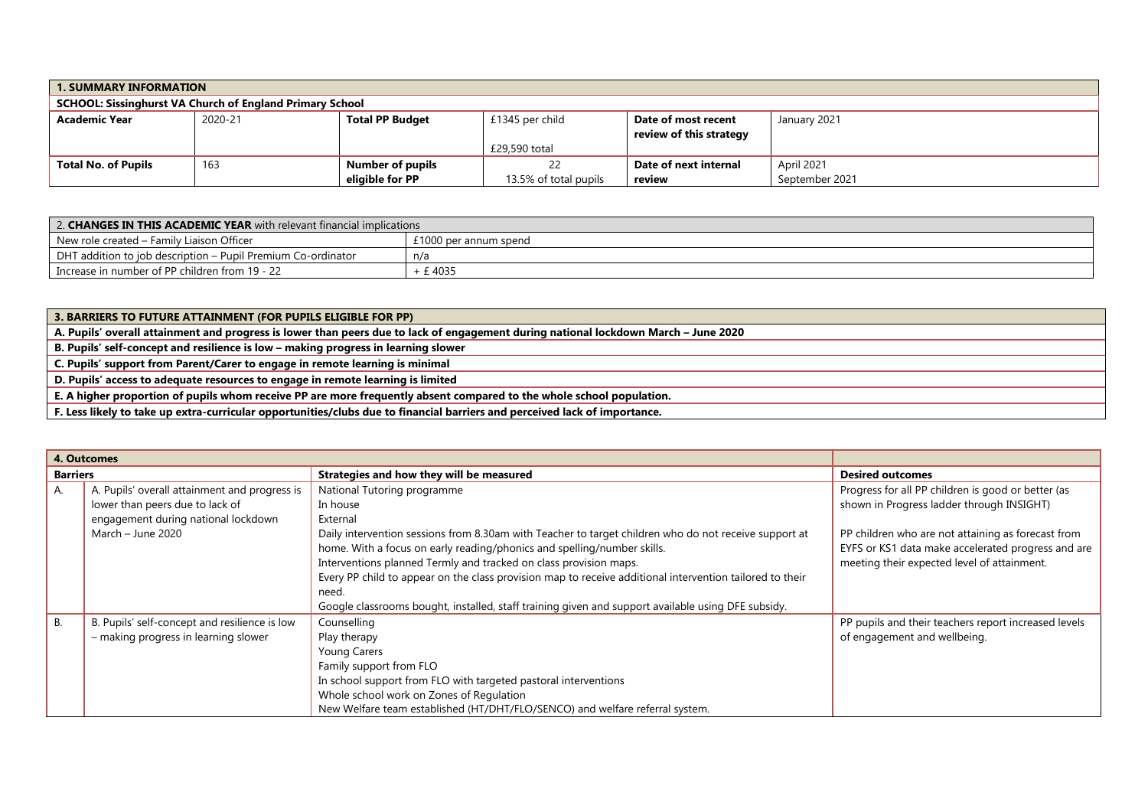| <b>1. SUMMARY INFORMATION</b>                                   |                                                                                             |                  |                       |                         |                |  |  |  |
|-----------------------------------------------------------------|---------------------------------------------------------------------------------------------|------------------|-----------------------|-------------------------|----------------|--|--|--|
| <b>SCHOOL: Sissinghurst VA Church of England Primary School</b> |                                                                                             |                  |                       |                         |                |  |  |  |
| <b>Academic Year</b>                                            | 2020-21<br><b>Total PP Budget</b><br>£1345 per child<br>January 2021<br>Date of most recent |                  |                       |                         |                |  |  |  |
|                                                                 |                                                                                             |                  |                       | review of this strategy |                |  |  |  |
|                                                                 |                                                                                             |                  | £29,590 total         |                         |                |  |  |  |
| <b>Total No. of Pupils</b>                                      | 163                                                                                         | Number of pupils |                       | Date of next internal   | April 2021     |  |  |  |
|                                                                 |                                                                                             | eligible for PP  | 13.5% of total pupils | review                  | September 2021 |  |  |  |

| 2. CHANGES IN THIS ACADEMIC YEAR with relevant financial implications |                       |  |  |  |  |
|-----------------------------------------------------------------------|-----------------------|--|--|--|--|
| New role created – Family Liaison Officer                             | £1000 per annum spend |  |  |  |  |
| DHT addition to job description – Pupil Premium Co-ordinator          | n/a                   |  |  |  |  |
| Increase in number of PP children from 19 - 22                        | £4035                 |  |  |  |  |

**3. BARRIERS TO FUTURE ATTAINMENT (FOR PUPILS ELIGIBLE FOR PP) A. Pupils' overall attainment and progress is lower than peers due to lack of engagement during national lockdown March – June 2020 B. Pupils' self-concept and resilience is low – making progress in learning slower C. Pupils' support from Parent/Carer to engage in remote learning is minimal D. Pupils' access to adequate resources to engage in remote learning is limited E. A higher proportion of pupils whom receive PP are more frequently absent compared to the whole school population. F. Less likely to take up extra-curricular opportunities/clubs due to financial barriers and perceived lack of importance.**

|                 | 4. Outcomes                                   |                                                                                                          |                                                      |
|-----------------|-----------------------------------------------|----------------------------------------------------------------------------------------------------------|------------------------------------------------------|
| <b>Barriers</b> |                                               | Strategies and how they will be measured                                                                 | <b>Desired outcomes</b>                              |
| A.              | A. Pupils' overall attainment and progress is | National Tutoring programme                                                                              | Progress for all PP children is good or better (as   |
|                 | lower than peers due to lack of               | In house                                                                                                 | shown in Progress ladder through INSIGHT)            |
|                 | engagement during national lockdown           | External                                                                                                 |                                                      |
|                 | March - June 2020                             | Daily intervention sessions from 8.30am with Teacher to target children who do not receive support at    | PP children who are not attaining as forecast from   |
|                 |                                               | home. With a focus on early reading/phonics and spelling/number skills.                                  | EYFS or KS1 data make accelerated progress and are   |
|                 |                                               | Interventions planned Termly and tracked on class provision maps.                                        | meeting their expected level of attainment.          |
|                 |                                               | Every PP child to appear on the class provision map to receive additional intervention tailored to their |                                                      |
|                 |                                               | need.                                                                                                    |                                                      |
|                 |                                               | Google classrooms bought, installed, staff training given and support available using DFE subsidy.       |                                                      |
| <b>B.</b>       | B. Pupils' self-concept and resilience is low | Counselling                                                                                              | PP pupils and their teachers report increased levels |
|                 | - making progress in learning slower          | Play therapy                                                                                             | of engagement and wellbeing.                         |
|                 |                                               | <b>Young Carers</b>                                                                                      |                                                      |
|                 |                                               | Family support from FLO                                                                                  |                                                      |
|                 |                                               | In school support from FLO with targeted pastoral interventions                                          |                                                      |
|                 |                                               | Whole school work on Zones of Regulation                                                                 |                                                      |
|                 |                                               | New Welfare team established (HT/DHT/FLO/SENCO) and welfare referral system.                             |                                                      |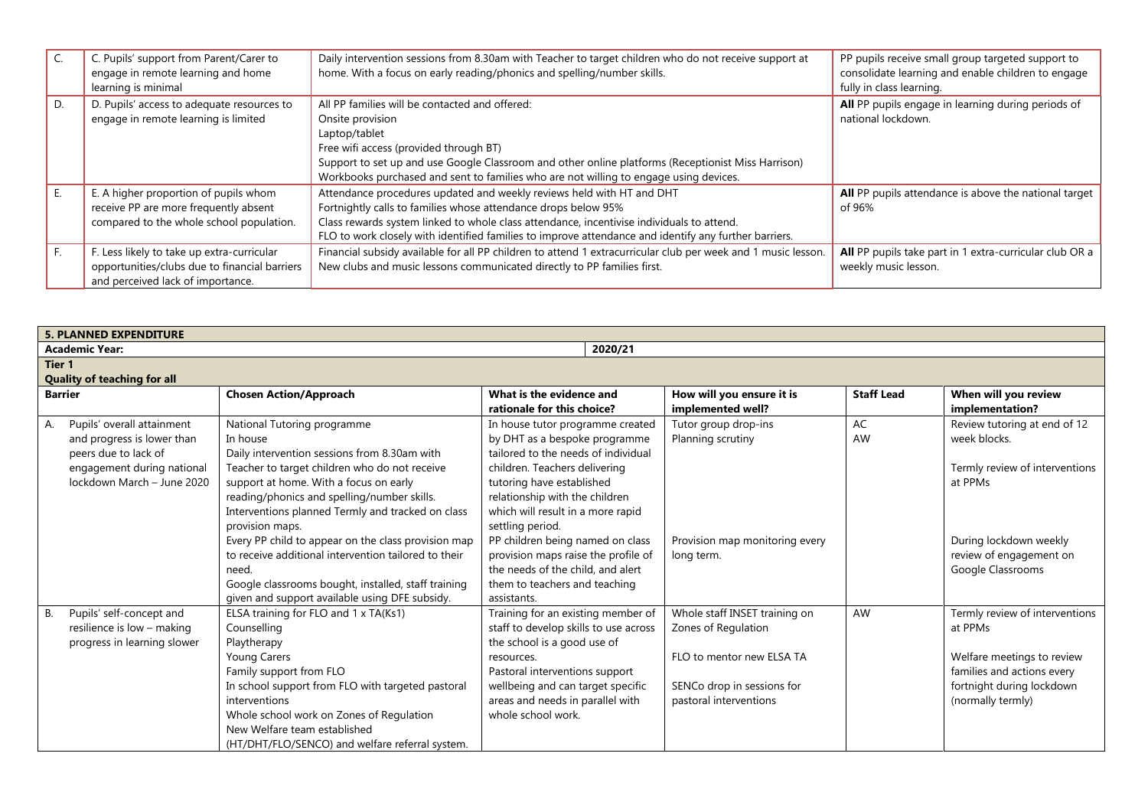|    | C. Pupils' support from Parent/Carer to<br>engage in remote learning and home<br>learning is minimal                             | Daily intervention sessions from 8.30am with Teacher to target children who do not receive support at<br>home. With a focus on early reading/phonics and spelling/number skills.                                                                                                                                                              | PP pupils receive small group targeted support to<br>consolidate learning and enable children to engage<br>fully in class learning. |
|----|----------------------------------------------------------------------------------------------------------------------------------|-----------------------------------------------------------------------------------------------------------------------------------------------------------------------------------------------------------------------------------------------------------------------------------------------------------------------------------------------|-------------------------------------------------------------------------------------------------------------------------------------|
| D. | D. Pupils' access to adequate resources to<br>engage in remote learning is limited                                               | All PP families will be contacted and offered:<br>Onsite provision<br>Laptop/tablet<br>Free wifi access (provided through BT)<br>Support to set up and use Google Classroom and other online platforms (Receptionist Miss Harrison)<br>Workbooks purchased and sent to families who are not willing to engage using devices.                  | All PP pupils engage in learning during periods of<br>national lockdown.                                                            |
|    | E. A higher proportion of pupils whom<br>receive PP are more frequently absent<br>compared to the whole school population.       | Attendance procedures updated and weekly reviews held with HT and DHT<br>Fortnightly calls to families whose attendance drops below 95%<br>Class rewards system linked to whole class attendance, incentivise individuals to attend.<br>FLO to work closely with identified families to improve attendance and identify any further barriers. | All PP pupils attendance is above the national target<br>of 96%                                                                     |
|    | F. Less likely to take up extra-curricular<br>opportunities/clubs due to financial barriers<br>and perceived lack of importance. | Financial subsidy available for all PP children to attend 1 extracurricular club per week and 1 music lesson.<br>New clubs and music lessons communicated directly to PP families first.                                                                                                                                                      | All PP pupils take part in 1 extra-curricular club OR a<br>weekly music lesson.                                                     |

| <b>5. PLANNED EXPENDITURE</b> |                                    |                                                      |                                       |                                |                   |                                |  |  |  |
|-------------------------------|------------------------------------|------------------------------------------------------|---------------------------------------|--------------------------------|-------------------|--------------------------------|--|--|--|
|                               | 2020/21<br><b>Academic Year:</b>   |                                                      |                                       |                                |                   |                                |  |  |  |
|                               | Tier 1                             |                                                      |                                       |                                |                   |                                |  |  |  |
|                               | <b>Quality of teaching for all</b> |                                                      |                                       |                                |                   |                                |  |  |  |
| <b>Barrier</b>                |                                    | <b>Chosen Action/Approach</b>                        | What is the evidence and              | How will you ensure it is      | <b>Staff Lead</b> | When will you review           |  |  |  |
|                               |                                    |                                                      | rationale for this choice?            | implemented well?              |                   | implementation?                |  |  |  |
| А.                            | Pupils' overall attainment         | National Tutoring programme                          | In house tutor programme created      | Tutor group drop-ins           | AC                | Review tutoring at end of 12   |  |  |  |
|                               | and progress is lower than         | In house                                             | by DHT as a bespoke programme         | Planning scrutiny              | AW                | week blocks.                   |  |  |  |
|                               | peers due to lack of               | Daily intervention sessions from 8.30am with         | tailored to the needs of individual   |                                |                   |                                |  |  |  |
|                               | engagement during national         | Teacher to target children who do not receive        | children. Teachers delivering         |                                |                   | Termly review of interventions |  |  |  |
|                               | lockdown March - June 2020         | support at home. With a focus on early               | tutoring have established             |                                |                   | at PPMs                        |  |  |  |
|                               |                                    | reading/phonics and spelling/number skills.          | relationship with the children        |                                |                   |                                |  |  |  |
|                               |                                    | Interventions planned Termly and tracked on class    | which will result in a more rapid     |                                |                   |                                |  |  |  |
|                               |                                    | provision maps.                                      | settling period.                      |                                |                   |                                |  |  |  |
|                               |                                    | Every PP child to appear on the class provision map  | PP children being named on class      | Provision map monitoring every |                   | During lockdown weekly         |  |  |  |
|                               |                                    | to receive additional intervention tailored to their | provision maps raise the profile of   | long term.                     |                   | review of engagement on        |  |  |  |
|                               |                                    | need.                                                | the needs of the child, and alert     |                                |                   | Google Classrooms              |  |  |  |
|                               |                                    | Google classrooms bought, installed, staff training  | them to teachers and teaching         |                                |                   |                                |  |  |  |
|                               |                                    | given and support available using DFE subsidy.       | assistants.                           |                                |                   |                                |  |  |  |
| В.                            | Pupils' self-concept and           | ELSA training for FLO and 1 x TA(Ks1)                | Training for an existing member of    | Whole staff INSET training on  | AW                | Termly review of interventions |  |  |  |
|                               | resilience is low - making         | Counselling                                          | staff to develop skills to use across | Zones of Regulation            |                   | at PPMs                        |  |  |  |
|                               | progress in learning slower        | Playtherapy                                          | the school is a good use of           |                                |                   |                                |  |  |  |
|                               |                                    | Young Carers                                         | resources.                            | FLO to mentor new ELSA TA      |                   | Welfare meetings to review     |  |  |  |
|                               |                                    | Family support from FLO                              | Pastoral interventions support        |                                |                   | families and actions every     |  |  |  |
|                               |                                    | In school support from FLO with targeted pastoral    | wellbeing and can target specific     | SENCo drop in sessions for     |                   | fortnight during lockdown      |  |  |  |
|                               |                                    | interventions                                        | areas and needs in parallel with      | pastoral interventions         |                   | (normally termly)              |  |  |  |
|                               |                                    | Whole school work on Zones of Regulation             | whole school work.                    |                                |                   |                                |  |  |  |
|                               |                                    | New Welfare team established                         |                                       |                                |                   |                                |  |  |  |
|                               |                                    | (HT/DHT/FLO/SENCO) and welfare referral system.      |                                       |                                |                   |                                |  |  |  |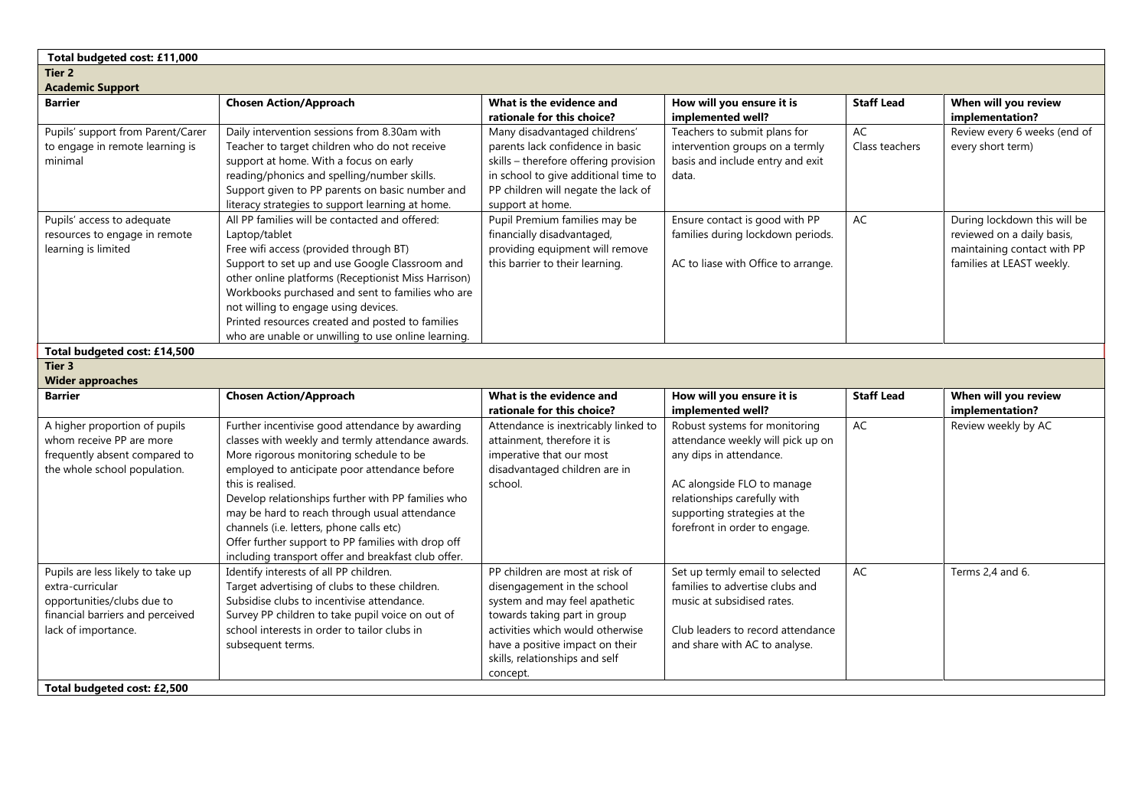| Total budgeted cost: £11,000                                                                                                                   |                                                                                                                                                                                                                                                                                                                                                                                                                                                                                       |                                                                                                                                                                                                                                                      |                                                                                                                                                                                                                              |                      |                                                                                                                        |  |  |  |  |
|------------------------------------------------------------------------------------------------------------------------------------------------|---------------------------------------------------------------------------------------------------------------------------------------------------------------------------------------------------------------------------------------------------------------------------------------------------------------------------------------------------------------------------------------------------------------------------------------------------------------------------------------|------------------------------------------------------------------------------------------------------------------------------------------------------------------------------------------------------------------------------------------------------|------------------------------------------------------------------------------------------------------------------------------------------------------------------------------------------------------------------------------|----------------------|------------------------------------------------------------------------------------------------------------------------|--|--|--|--|
| Tier <sub>2</sub>                                                                                                                              |                                                                                                                                                                                                                                                                                                                                                                                                                                                                                       |                                                                                                                                                                                                                                                      |                                                                                                                                                                                                                              |                      |                                                                                                                        |  |  |  |  |
| <b>Academic Support</b>                                                                                                                        |                                                                                                                                                                                                                                                                                                                                                                                                                                                                                       |                                                                                                                                                                                                                                                      |                                                                                                                                                                                                                              |                      |                                                                                                                        |  |  |  |  |
| <b>Barrier</b>                                                                                                                                 | <b>Chosen Action/Approach</b>                                                                                                                                                                                                                                                                                                                                                                                                                                                         | What is the evidence and<br>rationale for this choice?                                                                                                                                                                                               | How will you ensure it is<br>implemented well?                                                                                                                                                                               | <b>Staff Lead</b>    | When will you review<br>implementation?                                                                                |  |  |  |  |
| Pupils' support from Parent/Carer<br>to engage in remote learning is<br>minimal                                                                | Daily intervention sessions from 8.30am with<br>Teacher to target children who do not receive<br>support at home. With a focus on early<br>reading/phonics and spelling/number skills.<br>Support given to PP parents on basic number and<br>literacy strategies to support learning at home.                                                                                                                                                                                         | Many disadvantaged childrens'<br>parents lack confidence in basic<br>skills - therefore offering provision<br>in school to give additional time to<br>PP children will negate the lack of<br>support at home.                                        | Teachers to submit plans for<br>intervention groups on a termly<br>basis and include entry and exit<br>data.                                                                                                                 | AC<br>Class teachers | Review every 6 weeks (end of<br>every short term)                                                                      |  |  |  |  |
| Pupils' access to adequate<br>resources to engage in remote<br>learning is limited                                                             | All PP families will be contacted and offered:<br>Laptop/tablet<br>Free wifi access (provided through BT)<br>Support to set up and use Google Classroom and<br>other online platforms (Receptionist Miss Harrison)<br>Workbooks purchased and sent to families who are<br>not willing to engage using devices.<br>Printed resources created and posted to families<br>who are unable or unwilling to use online learning.                                                             | Pupil Premium families may be<br>financially disadvantaged,<br>providing equipment will remove<br>this barrier to their learning.                                                                                                                    | Ensure contact is good with PP<br>families during lockdown periods.<br>AC to liase with Office to arrange.                                                                                                                   | AC                   | During lockdown this will be<br>reviewed on a daily basis,<br>maintaining contact with PP<br>families at LEAST weekly. |  |  |  |  |
| Total budgeted cost: £14,500                                                                                                                   |                                                                                                                                                                                                                                                                                                                                                                                                                                                                                       |                                                                                                                                                                                                                                                      |                                                                                                                                                                                                                              |                      |                                                                                                                        |  |  |  |  |
| Tier 3                                                                                                                                         |                                                                                                                                                                                                                                                                                                                                                                                                                                                                                       |                                                                                                                                                                                                                                                      |                                                                                                                                                                                                                              |                      |                                                                                                                        |  |  |  |  |
| <b>Wider approaches</b>                                                                                                                        |                                                                                                                                                                                                                                                                                                                                                                                                                                                                                       |                                                                                                                                                                                                                                                      |                                                                                                                                                                                                                              |                      |                                                                                                                        |  |  |  |  |
| Barrier                                                                                                                                        | <b>Chosen Action/Approach</b>                                                                                                                                                                                                                                                                                                                                                                                                                                                         | What is the evidence and<br>rationale for this choice?                                                                                                                                                                                               | How will you ensure it is<br>implemented well?                                                                                                                                                                               | <b>Staff Lead</b>    | When will you review<br>implementation?                                                                                |  |  |  |  |
| A higher proportion of pupils<br>whom receive PP are more<br>frequently absent compared to<br>the whole school population.                     | Further incentivise good attendance by awarding<br>classes with weekly and termly attendance awards.<br>More rigorous monitoring schedule to be<br>employed to anticipate poor attendance before<br>this is realised.<br>Develop relationships further with PP families who<br>may be hard to reach through usual attendance<br>channels (i.e. letters, phone calls etc)<br>Offer further support to PP families with drop off<br>including transport offer and breakfast club offer. | Attendance is inextricably linked to<br>attainment, therefore it is<br>imperative that our most<br>disadvantaged children are in<br>school.                                                                                                          | Robust systems for monitoring<br>attendance weekly will pick up on<br>any dips in attendance.<br>AC alongside FLO to manage<br>relationships carefully with<br>supporting strategies at the<br>forefront in order to engage. | AC                   | Review weekly by AC                                                                                                    |  |  |  |  |
| Pupils are less likely to take up<br>extra-curricular<br>opportunities/clubs due to<br>financial barriers and perceived<br>lack of importance. | Identify interests of all PP children.<br>Target advertising of clubs to these children.<br>Subsidise clubs to incentivise attendance.<br>Survey PP children to take pupil voice on out of<br>school interests in order to tailor clubs in<br>subsequent terms.                                                                                                                                                                                                                       | PP children are most at risk of<br>disengagement in the school<br>system and may feel apathetic<br>towards taking part in group<br>activities which would otherwise<br>have a positive impact on their<br>skills, relationships and self<br>concept. | Set up termly email to selected<br>families to advertise clubs and<br>music at subsidised rates.<br>Club leaders to record attendance<br>and share with AC to analyse.                                                       | AC                   | Terms 2,4 and 6.                                                                                                       |  |  |  |  |
| Total budgeted cost: £2,500                                                                                                                    |                                                                                                                                                                                                                                                                                                                                                                                                                                                                                       |                                                                                                                                                                                                                                                      |                                                                                                                                                                                                                              |                      |                                                                                                                        |  |  |  |  |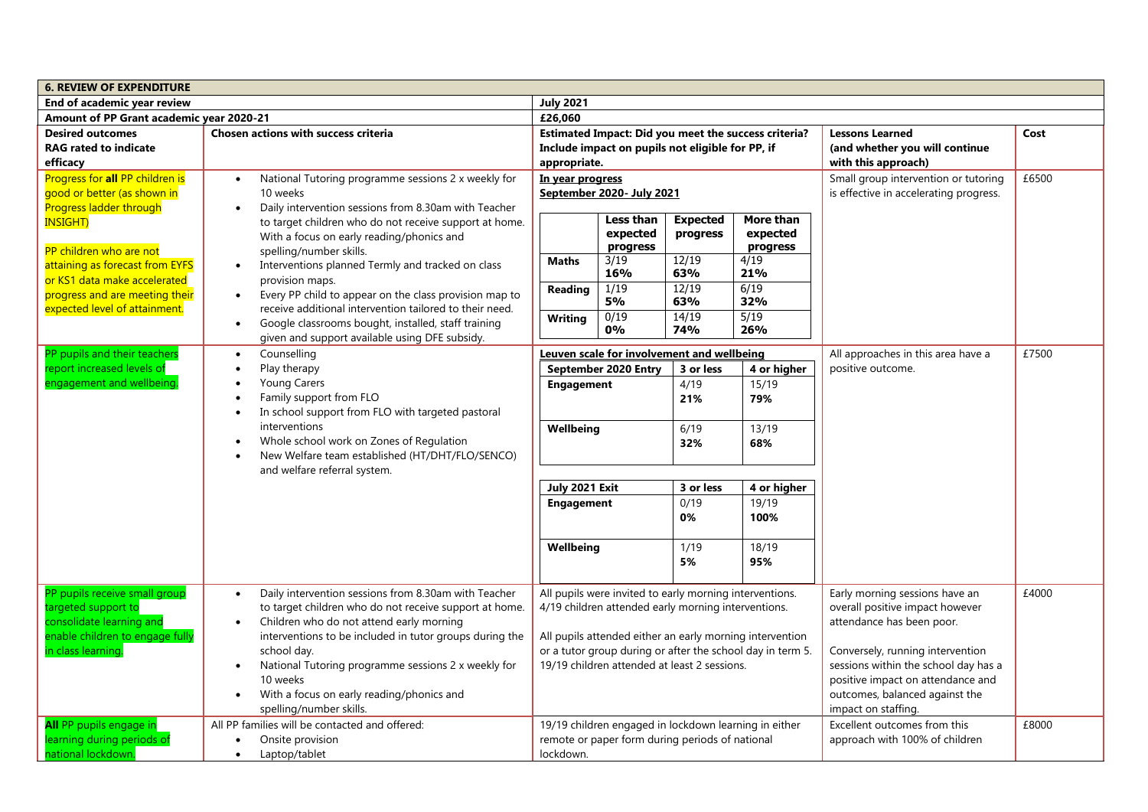| <b>6. REVIEW OF EXPENDITURE</b>                                                                  |                                                                                                                                                                                                     |                                                                                                                                                                        |                                                                                                                |                                                                  |                                                       |                                                                                                                                                 |       |  |
|--------------------------------------------------------------------------------------------------|-----------------------------------------------------------------------------------------------------------------------------------------------------------------------------------------------------|------------------------------------------------------------------------------------------------------------------------------------------------------------------------|----------------------------------------------------------------------------------------------------------------|------------------------------------------------------------------|-------------------------------------------------------|-------------------------------------------------------------------------------------------------------------------------------------------------|-------|--|
| End of academic year review                                                                      |                                                                                                                                                                                                     | <b>July 2021</b>                                                                                                                                                       |                                                                                                                |                                                                  |                                                       |                                                                                                                                                 |       |  |
| Amount of PP Grant academic year 2020-21                                                         |                                                                                                                                                                                                     | £26,060                                                                                                                                                                |                                                                                                                |                                                                  |                                                       |                                                                                                                                                 |       |  |
| <b>Desired outcomes</b><br><b>RAG rated to indicate</b><br>efficacy                              | Chosen actions with success criteria                                                                                                                                                                | appropriate.                                                                                                                                                           | Include impact on pupils not eligible for PP, if                                                               |                                                                  | Estimated Impact: Did you meet the success criteria?  | <b>Lessons Learned</b><br>(and whether you will continue<br>with this approach)                                                                 | Cost  |  |
| Progress for all PP children is<br>good or better (as shown in<br><b>Progress ladder through</b> | National Tutoring programme sessions 2 x weekly for<br>$\bullet$<br>10 weeks<br>Daily intervention sessions from 8.30am with Teacher<br>$\bullet$                                                   | In year progress                                                                                                                                                       | September 2020- July 2021                                                                                      |                                                                  |                                                       | Small group intervention or tutoring<br>is effective in accelerating progress.                                                                  | £6500 |  |
| <b>INSIGHT)</b><br>PP children who are not                                                       | to target children who do not receive support at home.<br>With a focus on early reading/phonics and                                                                                                 | Less than<br>expected<br>progress                                                                                                                                      |                                                                                                                | <b>Expected</b><br>More than<br>expected<br>progress<br>progress |                                                       |                                                                                                                                                 |       |  |
| attaining as forecast from EYFS<br>or KS1 data make accelerated                                  | spelling/number skills.<br>Interventions planned Termly and tracked on class<br>$\bullet$<br>provision maps.                                                                                        | <b>Maths</b>                                                                                                                                                           | 3/19<br>16%                                                                                                    | 12/19<br>63%                                                     | 4/19<br>21%                                           |                                                                                                                                                 |       |  |
| progress and are meeting their<br>expected level of attainment.                                  | Every PP child to appear on the class provision map to<br>$\bullet$<br>receive additional intervention tailored to their need.                                                                      | Reading                                                                                                                                                                | 1/19<br>5%                                                                                                     | 12/19<br>63%                                                     | 6/19<br>32%                                           |                                                                                                                                                 |       |  |
|                                                                                                  | Google classrooms bought, installed, staff training<br>$\bullet$<br>given and support available using DFE subsidy.                                                                                  | <b>Writing</b>                                                                                                                                                         | 0/19<br>0%                                                                                                     | 14/19<br>74%                                                     | $\frac{1}{5/19}$<br>26%                               |                                                                                                                                                 |       |  |
| PP pupils and their teachers                                                                     | Counselling<br>$\bullet$                                                                                                                                                                            |                                                                                                                                                                        | Leuven scale for involvement and wellbeing                                                                     |                                                                  |                                                       | All approaches in this area have a                                                                                                              | £7500 |  |
| engagement and wellbeing.                                                                        | report increased levels of<br>Play therapy<br><b>Young Carers</b><br>Family support from FLO                                                                                                        |                                                                                                                                                                        | September 2020 Entry<br><b>Engagement</b>                                                                      | 3 or less<br>4/19<br>21%                                         | 4 or higher<br>15/19<br>79%                           | positive outcome.                                                                                                                               |       |  |
|                                                                                                  | In school support from FLO with targeted pastoral<br>interventions<br>Whole school work on Zones of Regulation<br>New Welfare team established (HT/DHT/FLO/SENCO)<br>and welfare referral system.   | Wellbeing<br>6/19<br>32%                                                                                                                                               |                                                                                                                |                                                                  | 13/19                                                 |                                                                                                                                                 |       |  |
|                                                                                                  |                                                                                                                                                                                                     |                                                                                                                                                                        |                                                                                                                |                                                                  | 68%                                                   |                                                                                                                                                 |       |  |
|                                                                                                  |                                                                                                                                                                                                     | July 2021 Exit                                                                                                                                                         |                                                                                                                | 3 or less                                                        | 4 or higher                                           |                                                                                                                                                 |       |  |
|                                                                                                  |                                                                                                                                                                                                     | <b>Engagement</b><br>Wellbeing                                                                                                                                         |                                                                                                                | 0/19<br>0%                                                       | 19/19<br>100%                                         |                                                                                                                                                 |       |  |
|                                                                                                  |                                                                                                                                                                                                     |                                                                                                                                                                        |                                                                                                                | 1/19<br>5%                                                       | 18/19<br>95%                                          |                                                                                                                                                 |       |  |
| PP pupils receive small group<br>targeted support to<br>consolidate learning and                 | Daily intervention sessions from 8.30am with Teacher<br>$\bullet$<br>to target children who do not receive support at home.<br>Children who do not attend early morning<br>$\bullet$                |                                                                                                                                                                        | All pupils were invited to early morning interventions.<br>4/19 children attended early morning interventions. |                                                                  |                                                       | Early morning sessions have an<br>overall positive impact however<br>attendance has been poor.                                                  | £4000 |  |
| enable children to engage fully<br>in class learning                                             | interventions to be included in tutor groups during the<br>school day.<br>National Tutoring programme sessions 2 x weekly for<br>$\bullet$<br>10 weeks<br>With a focus on early reading/phonics and | All pupils attended either an early morning intervention<br>or a tutor group during or after the school day in term 5.<br>19/19 children attended at least 2 sessions. |                                                                                                                |                                                                  |                                                       | Conversely, running intervention<br>sessions within the school day has a<br>positive impact on attendance and<br>outcomes, balanced against the |       |  |
| All PP pupils engage in<br>learning during periods of<br>national lockdown.                      | spelling/number skills.<br>All PP families will be contacted and offered:<br>Onsite provision<br>$\bullet$<br>Laptop/tablet<br>$\bullet$                                                            | lockdown.                                                                                                                                                              | remote or paper form during periods of national                                                                |                                                                  | 19/19 children engaged in lockdown learning in either | impact on staffing.<br>Excellent outcomes from this<br>approach with 100% of children                                                           | £8000 |  |